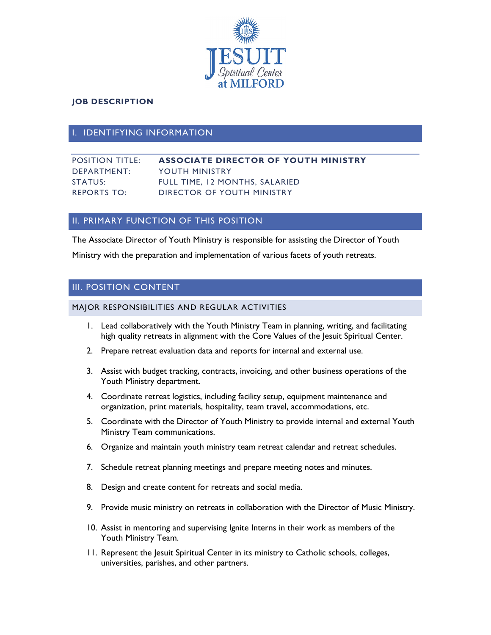

### **JOB DESCRIPTION**

## **IDENTIFYING INFORMATION**

## POSITION TITLE: **ASSOCIATE DIRECTOR OF YOUTH MINISTRY** DEPARTMENT: YOUTH MINISTRY STATUS: FULL TIME, 12 MONTHS, SALARIED REPORTS TO: DIRECTOR OF YOUTH MINISTRY

# **II. PRIMARY FUNCTION OF THIS POSITION**

The Associate Director of Youth Ministry is responsible for assisting the Director of Youth Ministry with the preparation and implementation of various facets of youth retreats.

# III. POSITION CONTENT

MAJOR RESPONSIBILITIES AND REGULAR ACTIVITIES

- 1. Lead collaboratively with the Youth Ministry Team in planning, writing, and facilitating high quality retreats in alignment with the Core Values of the Jesuit Spiritual Center.
- 2. Prepare retreat evaluation data and reports for internal and external use.
- 3. Assist with budget tracking, contracts, invoicing, and other business operations of the Youth Ministry department.
- 4. Coordinate retreat logistics, including facility setup, equipment maintenance and organization, print materials, hospitality, team travel, accommodations, etc.
- 5. Coordinate with the Director of Youth Ministry to provide internal and external Youth Ministry Team communications.
- 6. Organize and maintain youth ministry team retreat calendar and retreat schedules.
- 7. Schedule retreat planning meetings and prepare meeting notes and minutes.
- 8. Design and create content for retreats and social media.
- 9. Provide music ministry on retreats in collaboration with the Director of Music Ministry.
- 10. Assist in mentoring and supervising Ignite Interns in their work as members of the Youth Ministry Team.
- 11. Represent the Jesuit Spiritual Center in its ministry to Catholic schools, colleges, universities, parishes, and other partners.